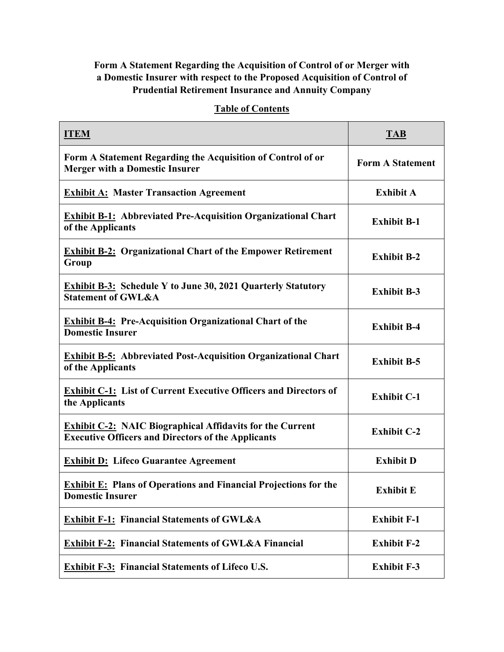## **Form A Statement Regarding the Acquisition of Control of or Merger with a Domestic Insurer with respect to the Proposed Acquisition of Control of Prudential Retirement Insurance and Annuity Company**

## **Table of Contents**

| <b>ITEM</b>                                                                                                                   | <b>TAB</b>              |
|-------------------------------------------------------------------------------------------------------------------------------|-------------------------|
| Form A Statement Regarding the Acquisition of Control of or<br><b>Merger with a Domestic Insurer</b>                          | <b>Form A Statement</b> |
| <b>Exhibit A: Master Transaction Agreement</b>                                                                                | <b>Exhibit A</b>        |
| <b>Exhibit B-1:</b> Abbreviated Pre-Acquisition Organizational Chart<br>of the Applicants                                     | <b>Exhibit B-1</b>      |
| <b>Exhibit B-2: Organizational Chart of the Empower Retirement</b><br>Group                                                   | <b>Exhibit B-2</b>      |
| <b>Exhibit B-3: Schedule Y to June 30, 2021 Quarterly Statutory</b><br><b>Statement of GWL&amp;A</b>                          | <b>Exhibit B-3</b>      |
| <b>Exhibit B-4: Pre-Acquisition Organizational Chart of the</b><br><b>Domestic Insurer</b>                                    | <b>Exhibit B-4</b>      |
| <b>Exhibit B-5:</b> Abbreviated Post-Acquisition Organizational Chart<br>of the Applicants                                    | <b>Exhibit B-5</b>      |
| <b>Exhibit C-1:</b> List of Current Executive Officers and Directors of<br>the Applicants                                     | <b>Exhibit C-1</b>      |
| <b>Exhibit C-2: NAIC Biographical Affidavits for the Current</b><br><b>Executive Officers and Directors of the Applicants</b> | <b>Exhibit C-2</b>      |
| <b>Exhibit D: Lifeco Guarantee Agreement</b>                                                                                  | <b>Exhibit D</b>        |
| <b>Exhibit E:</b> Plans of Operations and Financial Projections for the<br><b>Domestic Insurer</b>                            | <b>Exhibit E</b>        |
| <b>Exhibit F-1: Financial Statements of GWL&amp;A</b>                                                                         | <b>Exhibit F-1</b>      |
| <b>Exhibit F-2: Financial Statements of GWL&amp;A Financial</b>                                                               | <b>Exhibit F-2</b>      |
| <b>Exhibit F-3: Financial Statements of Lifeco U.S.</b>                                                                       | <b>Exhibit F-3</b>      |